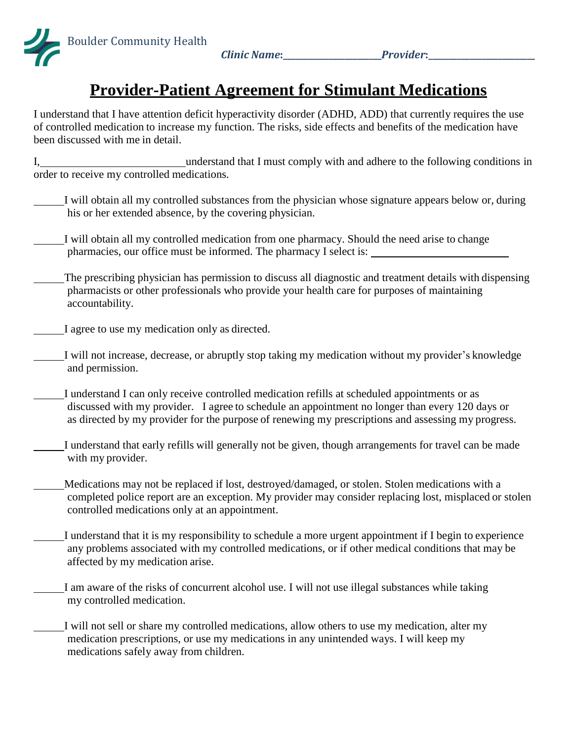

*Clinic Name***:\_\_\_\_\_\_\_\_\_\_\_\_\_\_\_\_\_\_\_\_\_\_\_\_***Provider***:\_\_\_\_\_\_\_\_\_\_\_\_\_\_\_\_\_\_\_\_\_\_\_\_\_\_**

## **Provider-Patient Agreement for Stimulant Medications**

I understand that I have attention deficit hyperactivity disorder (ADHD, ADD) that currently requires the use of controlled medication to increase my function. The risks, side effects and benefits of the medication have been discussed with me in detail.

I, understand that I must comply with and adhere to the following conditions in order to receive my controlled medications.

- I will obtain all my controlled substances from the physician whose signature appears below or, during his or her extended absence, by the covering physician.
- I will obtain all my controlled medication from one pharmacy. Should the need arise to change pharmacies, our office must be informed. The pharmacy I select is:
- The prescribing physician has permission to discuss all diagnostic and treatment details with dispensing pharmacists or other professionals who provide your health care for purposes of maintaining accountability.
- I agree to use my medication only as directed.
- I will not increase, decrease, or abruptly stop taking my medication without my provider's knowledge and permission.
- I understand I can only receive controlled medication refills at scheduled appointments or as discussed with my provider. I agree to schedule an appointment no longer than every 120 days or as directed by my provider for the purpose of renewing my prescriptions and assessing my progress.
- I understand that early refills will generally not be given, though arrangements for travel can be made with my provider.
- Medications may not be replaced if lost, destroyed/damaged, or stolen. Stolen medications with a completed police report are an exception. My provider may consider replacing lost, misplaced or stolen controlled medications only at an appointment.
	- I understand that it is my responsibility to schedule a more urgent appointment if I begin to experience any problems associated with my controlled medications, or if other medical conditions that may be affected by my medication arise.
- I am aware of the risks of concurrent alcohol use. I will not use illegal substances while taking my controlled medication.
	- I will not sell or share my controlled medications, allow others to use my medication, alter my medication prescriptions, or use my medications in any unintended ways. I will keep my medications safely away from children.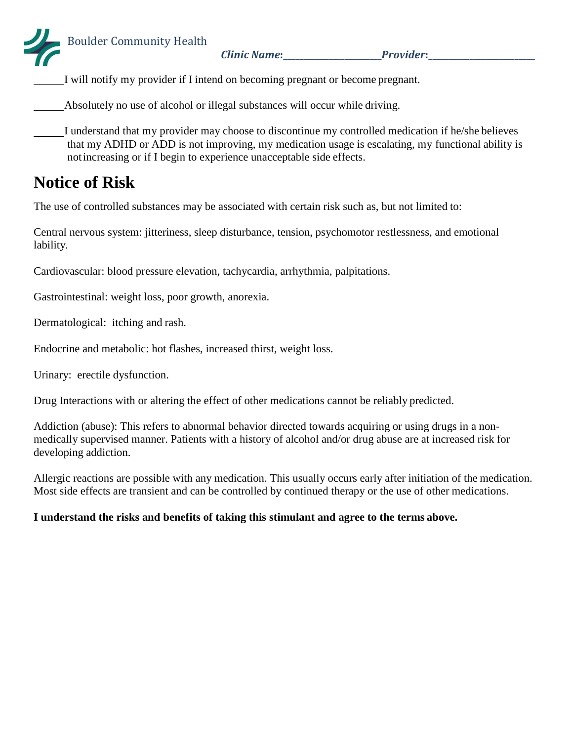*Clinic Name***:\_\_\_\_\_\_\_\_\_\_\_\_\_\_\_\_\_\_\_\_\_\_\_\_***Provider***:\_\_\_\_\_\_\_\_\_\_\_\_\_\_\_\_\_\_\_\_\_\_\_\_\_\_**

I will notify my provider if I intend on becoming pregnant or become pregnant.

Absolutely no use of alcohol or illegal substances will occur while driving.

I understand that my provider may choose to discontinue my controlled medication if he/she believes that my ADHD or ADD is not improving, my medication usage is escalating, my functional ability is notincreasing or if I begin to experience unacceptable side effects.

## **Notice of Risk**

The use of controlled substances may be associated with certain risk such as, but not limited to:

Central nervous system: jitteriness, sleep disturbance, tension, psychomotor restlessness, and emotional lability.

Cardiovascular: blood pressure elevation, tachycardia, arrhythmia, palpitations.

Gastrointestinal: weight loss, poor growth, anorexia.

Dermatological: itching and rash.

Endocrine and metabolic: hot flashes, increased thirst, weight loss.

Urinary: erectile dysfunction.

Drug Interactions with or altering the effect of other medications cannot be reliably predicted.

Addiction (abuse): This refers to abnormal behavior directed towards acquiring or using drugs in a nonmedically supervised manner. Patients with a history of alcohol and/or drug abuse are at increased risk for developing addiction.

Allergic reactions are possible with any medication. This usually occurs early after initiation of the medication. Most side effects are transient and can be controlled by continued therapy or the use of other medications.

## **I understand the risks and benefits of taking this stimulant and agree to the terms above.**